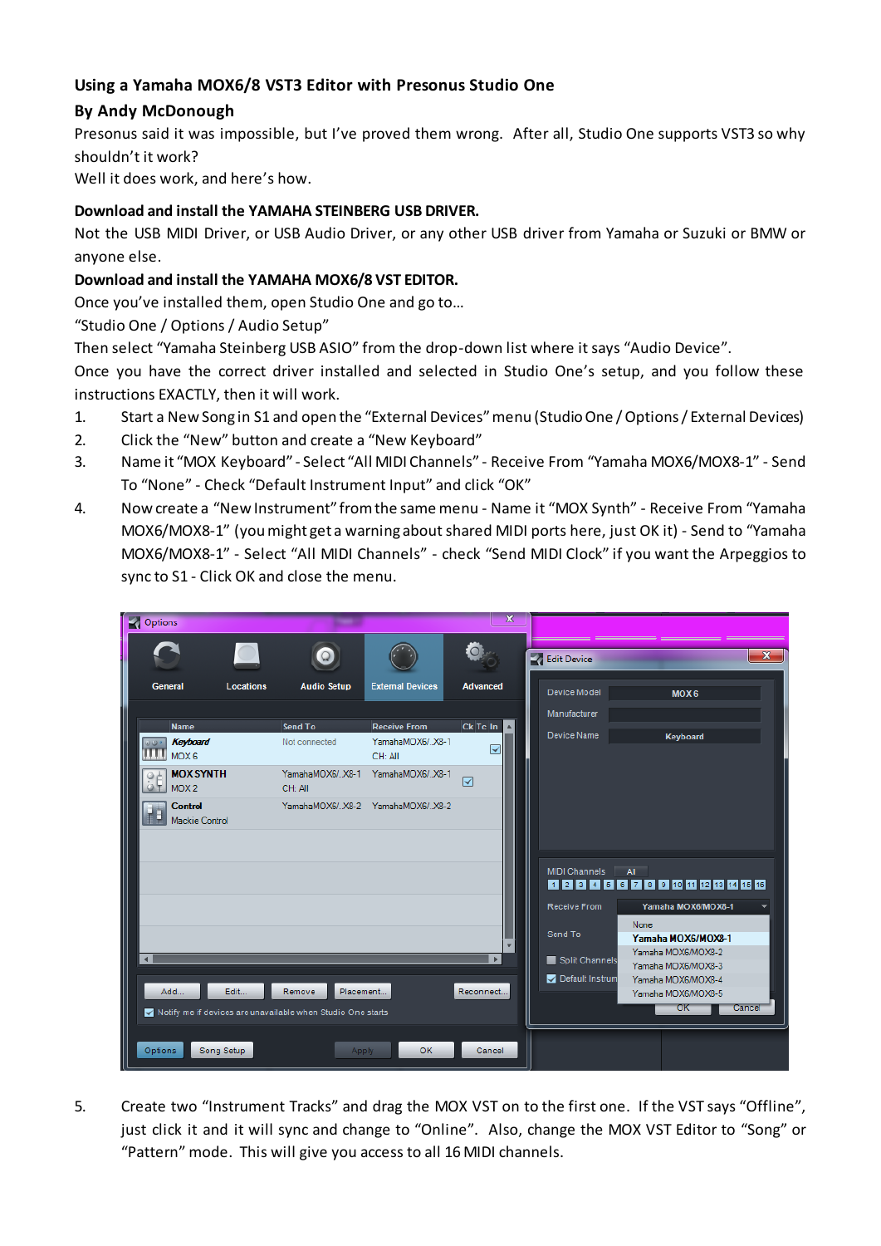# **Using a Yamaha MOX6/8 VST3 Editor with Presonus Studio One**

## **By Andy McDonough**

Presonus said it was impossible, but I've proved them wrong. After all, Studio One supports VST3 so why shouldn't it work?

Well it does work, and here's how.

#### **Download and install the YAMAHA STEINBERG USB DRIVER.**

Not the USB MIDI Driver, or USB Audio Driver, or any other USB driver from Yamaha or Suzuki or BMW or anyone else.

### **Download and install the YAMAHA MOX6/8 VST EDITOR.**

Once you've installed them, open Studio One and go to…

"Studio One / Options / Audio Setup"

Then select "Yamaha Steinberg USB ASIO" from the drop-down list where it says "Audio Device".

Once you have the correct driver installed and selected in Studio One's setup, and you follow these instructions EXACTLY, then it will work.

- 1. Start a New Song in S1 and open the "External Devices" menu (Studio One / Options / External Devices)
- 2. Click the "New" button and create a "New Keyboard"
- 3. Name it "MOX Keyboard" Select "All MIDI Channels" Receive From "Yamaha MOX6/MOX8-1" Send To "None" - Check "Default Instrument Input" and click "OK"
- 4. Now create a "New Instrument" from the same menu Name it "MOX Synth" Receive From "Yamaha MOX6/MOX8-1" (you might get a warning about shared MIDI ports here, just OK it) - Send to "Yamaha MOX6/MOX8-1" - Select "All MIDI Channels" - check "Send MIDI Clock" if you want the Arpeggios to sync to S1 - Click OK and close the menu.

| Options                                                     |                  |                            |                                 | $\mathbf x$             |                      |                                          |
|-------------------------------------------------------------|------------------|----------------------------|---------------------------------|-------------------------|----------------------|------------------------------------------|
|                                                             |                  |                            |                                 |                         | Edit Device          | $\mathbf{x}$                             |
| <b>General</b>                                              | <b>Locations</b> | <b>Audio Setup</b>         | <b>External Devices</b>         | <b>Advanced</b>         | Device Model         | MOX <sub>6</sub>                         |
|                                                             |                  |                            |                                 |                         | Manufacturer         |                                          |
| <b>Name</b>                                                 |                  | Send To                    | <b>Receive From</b>             | Ck Tc In                |                      |                                          |
| Keyboard<br>MOX6                                            |                  | Not connected              | YamahaMOX6/X8-1<br>CH: All      | $\overline{\checkmark}$ | Device Name          | Keyboard                                 |
| <b>MOX SYNTH</b><br>MOX <sub>2</sub>                        |                  | YamahaMOX6/X8-1<br>CH: All | YamahaMOX6/X8-1                 | ☑                       |                      |                                          |
| <b>Control</b><br><b>Mackie Control</b>                     |                  |                            | YamahaMOX6/X8-2 YamahaMOX6/X8-2 |                         |                      |                                          |
|                                                             |                  |                            |                                 |                         |                      |                                          |
|                                                             |                  |                            |                                 |                         | <b>MIDI Channels</b> | All                                      |
|                                                             |                  |                            |                                 |                         |                      | 0 2 3 4 5 6 7 8 9 10 11 12 13 14 15 16   |
|                                                             |                  |                            |                                 |                         | Receive From         | Yamaha MOX6/MOX8-1                       |
|                                                             |                  |                            |                                 |                         | Send To              | None                                     |
|                                                             |                  |                            |                                 |                         |                      | Yamaha MOX6/MOX8-1                       |
| $\blacktriangleleft$                                        |                  |                            |                                 | ×.                      | Split Channels       | Yamaha MOX6/MOX8-2<br>Yamaha MOX6/MOX8-3 |
|                                                             |                  |                            |                                 |                         | Default Instrum      | Yamaha MOX6/MOX8-4                       |
| Add<br>Edit<br>Remove<br>Placement<br>Reconnect             |                  |                            |                                 |                         |                      | Yamaha MOX6/MOX8-5                       |
| Notify me if devices are unavailable when Studio One starts |                  |                            |                                 |                         |                      | ОΚ<br>Cancel                             |
|                                                             |                  |                            |                                 |                         |                      |                                          |
| Options                                                     | Song Setup       | Apply                      | <b>OK</b>                       | Cancel                  |                      |                                          |

5. Create two "Instrument Tracks" and drag the MOX VST on to the first one. If the VST says "Offline", just click it and it will sync and change to "Online". Also, change the MOX VST Editor to "Song" or "Pattern" mode. This will give you access to all 16 MIDI channels.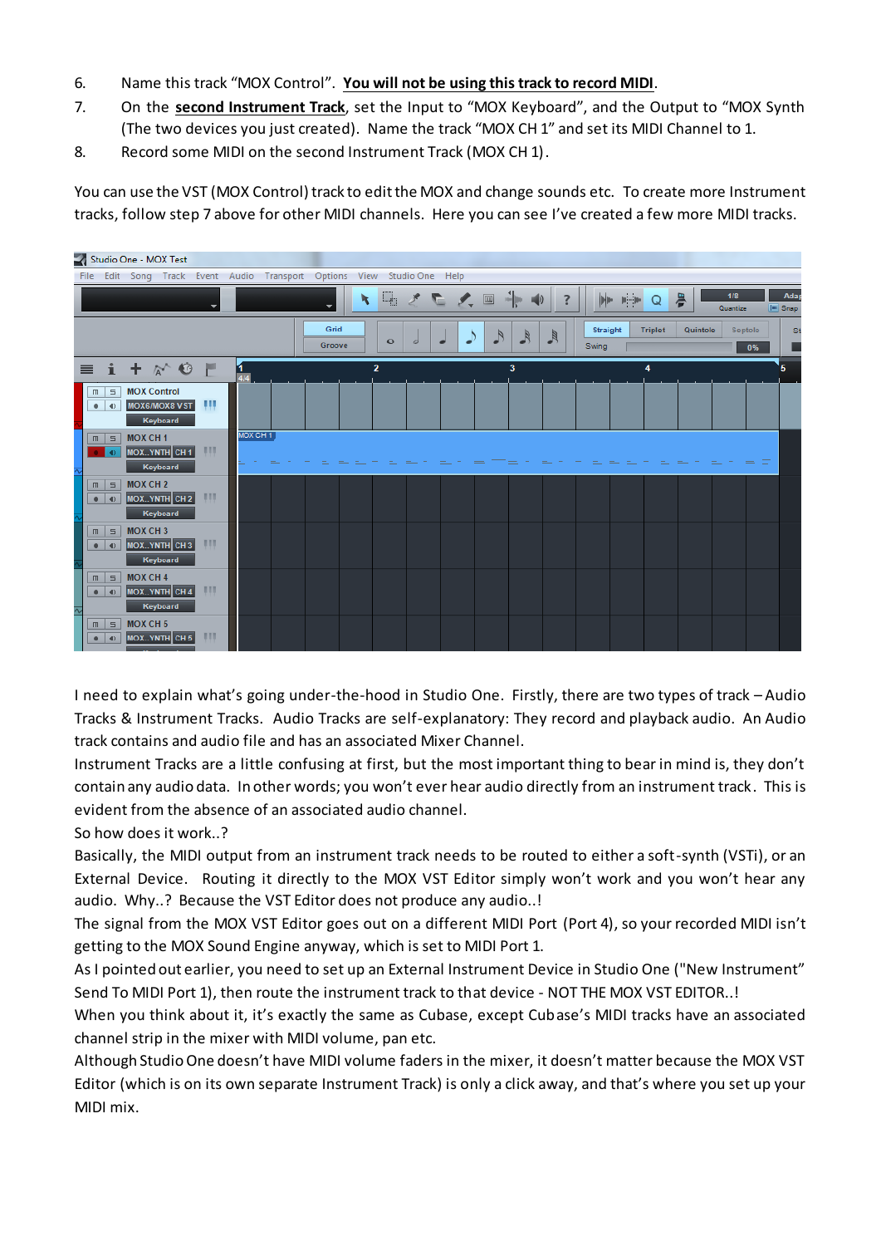- 6. Name this track "MOX Control". **You will not be using this track to record MIDI**.
- 7. On the **second Instrument Track**, set the Input to "MOX Keyboard", and the Output to "MOX Synth (The two devices you just created). Name the track "MOX CH 1" and set its MIDI Channel to 1.
- 8. Record some MIDI on the second Instrument Track (MOX CH 1).

You can use the VST (MOX Control) track to edit the MOX and change sounds etc. To create more Instrument tracks, follow step 7 above for other MIDI channels. Here you can see I've created a few more MIDI tracks.



I need to explain what's going under-the-hood in Studio One. Firstly, there are two types of track – Audio Tracks & Instrument Tracks. Audio Tracks are self-explanatory: They record and playback audio. An Audio track contains and audio file and has an associated Mixer Channel.

Instrument Tracks are a little confusing at first, but the most important thing to bear in mind is, they don't contain any audio data. In other words; you won't ever hear audio directly from an instrument track. This is evident from the absence of an associated audio channel.

So how does it work..?

Basically, the MIDI output from an instrument track needs to be routed to either a soft-synth (VSTi), or an External Device. Routing it directly to the MOX VST Editor simply won't work and you won't hear any audio. Why..? Because the VST Editor does not produce any audio..!

The signal from the MOX VST Editor goes out on a different MIDI Port (Port 4), so your recorded MIDI isn't getting to the MOX Sound Engine anyway, which is set to MIDI Port 1.

As I pointed out earlier, you need to set up an External Instrument Device in Studio One ("New Instrument" Send To MIDI Port 1), then route the instrument track to that device - NOT THE MOX VST EDITOR..!

When you think about it, it's exactly the same as Cubase, except Cubase's MIDI tracks have an associated channel strip in the mixer with MIDI volume, pan etc.

Although Studio One doesn't have MIDI volume faders in the mixer, it doesn't matter because the MOX VST Editor (which is on its own separate Instrument Track) is only a click away, and that's where you set up your MIDI mix.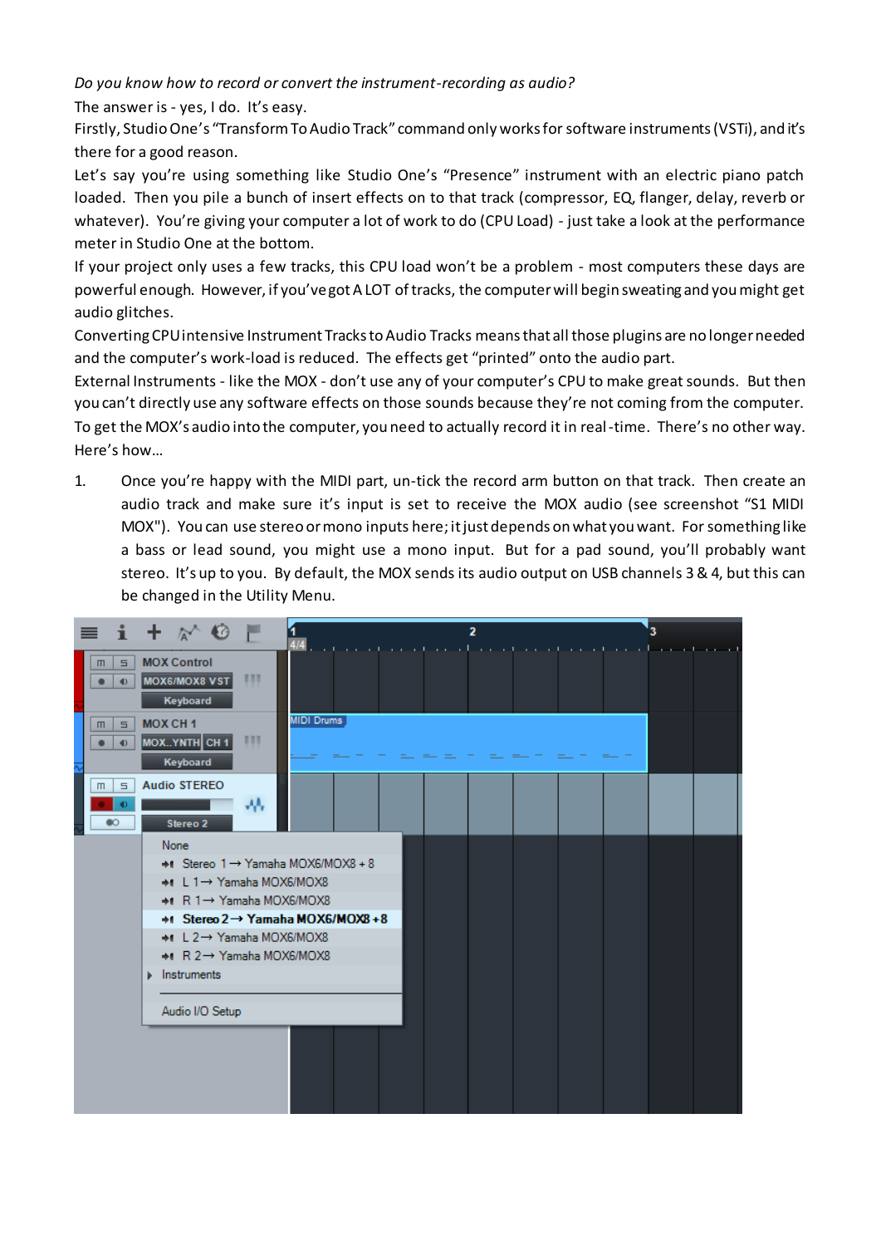*Do you know how to record or convert the instrument-recording as audio?* 

The answer is - yes, I do. It's easy.

Firstly, Studio One's "Transform To Audio Track" command only works for software instruments (VSTi), and it's there for a good reason.

Let's say you're using something like Studio One's "Presence" instrument with an electric piano patch loaded. Then you pile a bunch of insert effects on to that track (compressor, EQ, flanger, delay, reverb or whatever). You're giving your computer a lot of work to do (CPU Load) - just take a look at the performance meter in Studio One at the bottom.

If your project only uses a few tracks, this CPU load won't be a problem - most computers these days are powerful enough. However, if you've got A LOT of tracks, the computer will begin sweating and you might get audio glitches.

Converting CPU intensive Instrument Tracks to Audio Tracks means that all those plugins are no longer needed and the computer's work-load is reduced. The effects get "printed" onto the audio part.

External Instruments - like the MOX - don't use any of your computer's CPU to make great sounds. But then you can't directly use any software effects on those sounds because they're not coming from the computer. To get the MOX's audio into the computer, you need to actually record it in real-time. There's no other way. Here's how…

1. Once you're happy with the MIDI part, un-tick the record arm button on that track. Then create an audio track and make sure it's input is set to receive the MOX audio (see screenshot "S1 MIDI MOX"). You can use stereo or mono inputs here; it just depends on what you want. Forsomething like a bass or lead sound, you might use a mono input. But for a pad sound, you'll probably want stereo. It's up to you. By default, the MOX sends its audio output on USB channels 3 & 4, but this can be changed in the Utility Menu.

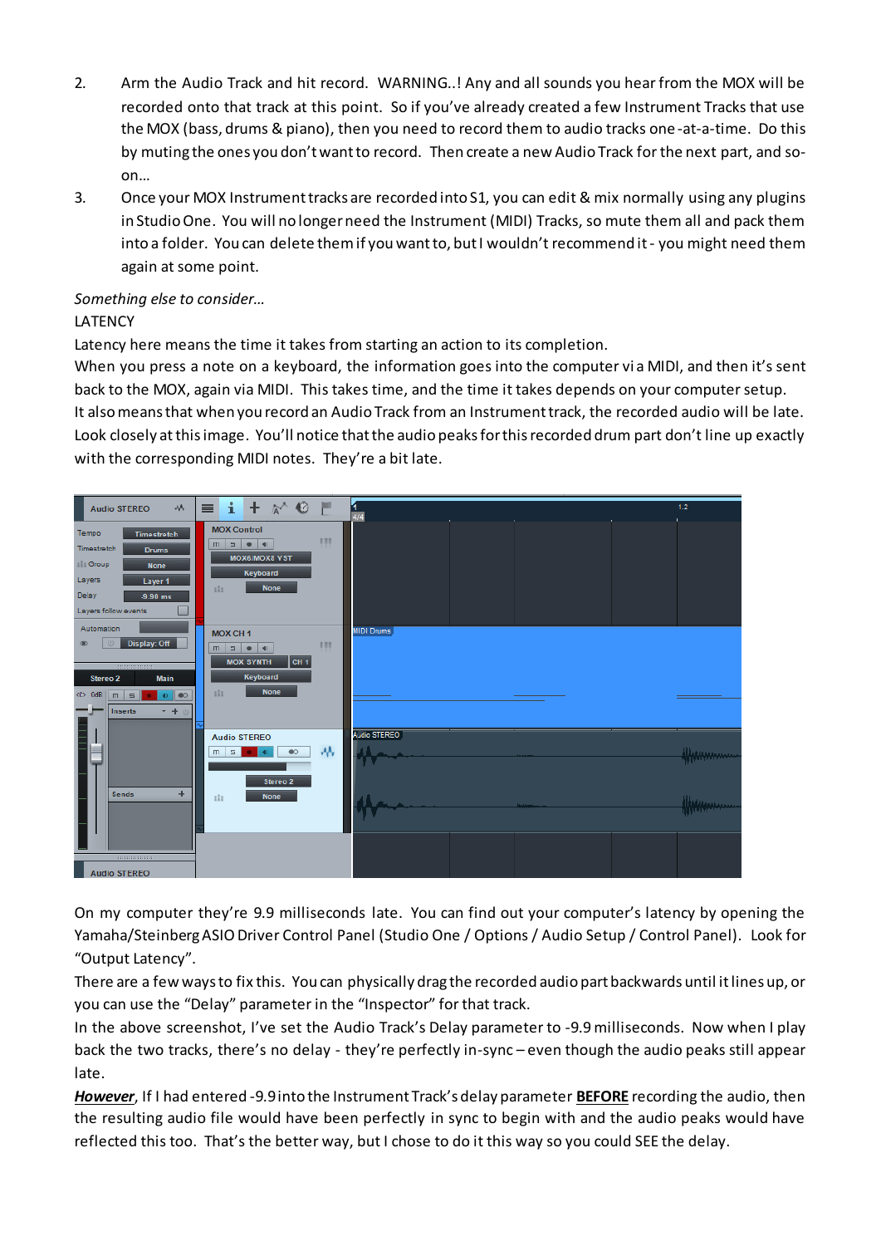- 2. Arm the Audio Track and hit record. WARNING..! Any and all sounds you hear from the MOX will be recorded onto that track at this point. So if you've already created a few Instrument Tracks that use the MOX (bass, drums & piano), then you need to record them to audio tracks one -at-a-time. Do this by muting the ones you don't want to record. Then create a new Audio Track for the next part, and soon…
- 3. Once your MOX Instrument tracks are recorded into S1, you can edit & mix normally using any plugins in Studio One. You will no longer need the Instrument (MIDI) Tracks, so mute them all and pack them into a folder. You can delete them if you want to, but I wouldn't recommend it - you might need them again at some point.

## *Something else to consider…*

### LATENCY

Latency here means the time it takes from starting an action to its completion.

When you press a note on a keyboard, the information goes into the computer via MIDI, and then it's sent back to the MOX, again via MIDI. This takes time, and the time it takes depends on your computer setup. It also means that when you record an Audio Track from an Instrument track, the recorded audio will be late. Look closely at this image. You'll notice that the audio peaks for this recorded drum part don't line up exactly with the corresponding MIDI notes. They're a bit late.



On my computer they're 9.9 milliseconds late. You can find out your computer's latency by opening the Yamaha/Steinberg ASIO Driver Control Panel (Studio One / Options / Audio Setup / Control Panel). Look for "Output Latency".

There are a few ways to fix this. You can physically drag the recorded audio part backwards until it lines up, or you can use the "Delay" parameter in the "Inspector" for that track.

In the above screenshot, I've set the Audio Track's Delay parameter to -9.9 milliseconds. Now when I play back the two tracks, there's no delay - they're perfectly in-sync – even though the audio peaks still appear late.

*However*, If I had entered -9.9 into the Instrument Track's delay parameter **BEFORE** recording the audio, then the resulting audio file would have been perfectly in sync to begin with and the audio peaks would have reflected this too. That's the better way, but I chose to do it this way so you could SEE the delay.